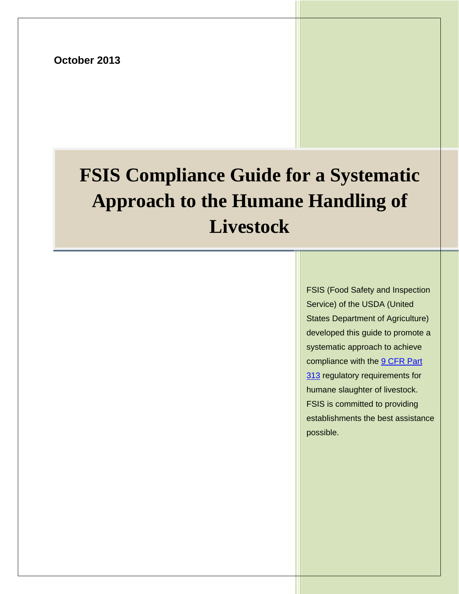**October 2013**

# **FSIS Compliance Guide for a Systematic Approach to the Humane Handling of Handling of Livestock**

FSIS (Food Safety and Inspection Service) of the USDA (United States Department of Agriculture) [deve](http://www.gpo.gov/fdsys/pkg/CFR-2012-title9-vol2/pdf/CFR-2012-title9-vol2-part313.pdf)loped this guide to promote a systematic approach to achieve compliance with the <u>9 CFR Part</u> 313 regulatory requirements for  $\vert$ humane slaughter of livestock.  $\vert$ FSIS is committed to providing establishments the best assistance estable. The best assistance of the best assistance of the best assistance of the best assistance of the best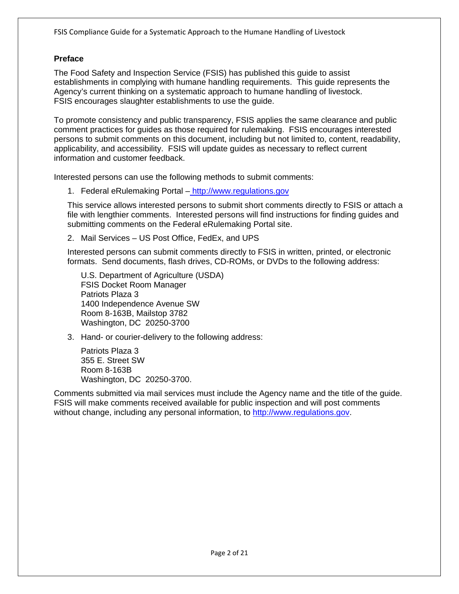# <span id="page-1-0"></span>**Preface**

The Food Safety and Inspection Service (FSIS) has published this guide to assist establishments in complying with humane handling requirements. This guide represents the Agency's current thinking on a systematic approach to humane handling of livestock. FSIS encourages slaughter establishments to use the guide.

To promote consistency and public transparency, FSIS applies the same clearance and public comment practices for guides as those required for rulemaking. FSIS encourages interested persons to submit comments on this document, including but not limited to, content, readability, applicability, and accessibility. FSIS will update guides as necessary to reflect current information and customer feedback.

Interested persons can use the following methods to submit comments:

1. Federal eRulemaking Portal – [http://www.regulations.gov](http://www.regulations.gov/)

This service allows interested persons to submit short comments directly to FSIS or attach a file with lengthier comments. Interested persons will find instructions for finding guides and submitting comments on the Federal eRulemaking Portal site.

2. Mail Services – US Post Office, FedEx, and UPS

Interested persons can submit comments directly to FSIS in written, printed, or electronic formats. Send documents, flash drives, CD-ROMs, or DVDs to the following address:

U.S. Department of Agriculture (USDA) FSIS Docket Room Manager Patriots Plaza 3 1400 Independence Avenue SW Room 8-163B, Mailstop 3782 Washington, DC 20250-3700

3. Hand- or courier-delivery to the following address:

Patriots Plaza 3 355 E. Street SW Room 8-163B Washington, DC 20250-3700.

Comments submitted via mail services must include the Agency name and the title of the guide. FSIS will make comments received available for public inspection and will post comments without change, including any personal information, to [http://www.regulations.gov.](http://www.regulations.gov/)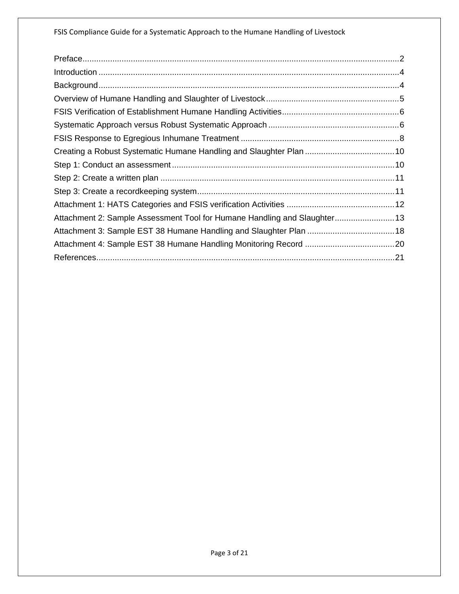| Attachment 2: Sample Assessment Tool for Humane Handling and Slaughter 13 |  |
|---------------------------------------------------------------------------|--|
|                                                                           |  |
|                                                                           |  |
|                                                                           |  |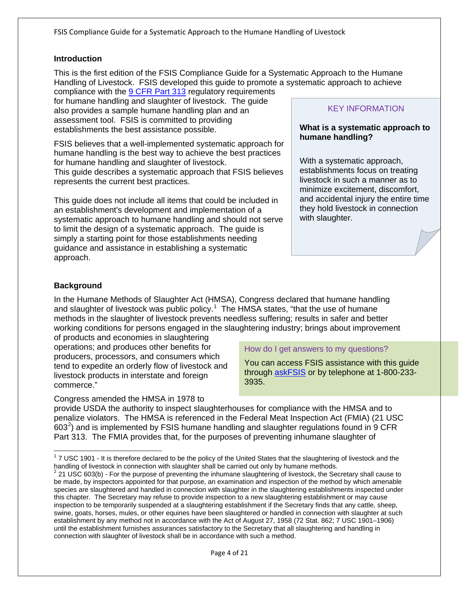#### <span id="page-3-0"></span>**Introduction**

This is the first edition of the FSIS Compliance Guide for a Systematic Approach to the Humane Handling of Livestock. FSIS developed this guide to promote a systematic approach to achieve

compliance with the [9 CFR Part 313](http://www.gpo.gov/fdsys/pkg/CFR-2012-title9-vol2/pdf/CFR-2012-title9-vol2-part313.pdf) regulatory requirements for humane handling and slaughter of livestock. The guide also provides a sample humane handling plan and an assessment tool. FSIS is committed to providing establishments the best assistance possible.

FSIS believes that a well-implemented systematic approach for humane handling is the best way to achieve the best practices for humane handling and slaughter of livestock. This guide describes a systematic approach that FSIS believes represents the current best practices.

This guide does not include all items that could be included in an establishment's development and implementation of a systematic approach to humane handling and should not serve to limit the design of a systematic approach. The guide is simply a starting point for those establishments needing guidance and assistance in establishing a systematic approach.

#### KEY INFORMATION

#### **What is a systematic approach to humane handling?**

With a systematic approach, establishments focus on treating livestock in such a manner as to minimize excitement, discomfort, and accidental injury the entire time they hold livestock in connection with slaughter.

#### <span id="page-3-1"></span>**Background**

In the Humane Methods of Slaughter Act (HMSA), Congress declared that humane handling and slaughter of livestock was public policy.<sup>[1](#page-3-2)</sup> The HMSA states, "that the use of humane methods in the slaughter of livestock prevents needless suffering; results in safer and better working conditions for persons engaged in the slaughtering industry; brings about improvement

of products and economies in slaughtering operations; and produces other benefits for producers, processors, and consumers which tend to expedite an orderly flow of livestock and livestock products in interstate and foreign commerce."

How do I get answers to my questions?

You can access FSIS assistance with this guide through [askFSIS](http://askfsis.custhelp.com/) or by telephone at 1-800-233- 3935.

Congress amended the HMSA in 1978 to provide USDA the authority to inspect slaughterhouses for compliance with the HMSA and to penalize violators. The HMSA is referenced in the Federal Meat Inspection Act (FMIA) (21 USC 603<sup>[2](#page-3-3)</sup>) and is implemented by FSIS humane handling and slaughter regulations found in 9 CFR Part 313. The FMIA provides that, for the purposes of preventing inhumane slaughter of

<span id="page-3-2"></span> $17$  USC 1901 - It is therefore declared to be the policy of the United States that the slaughtering of livestock and the handling of livestock in connection with slaughter shall be carried out only by humane methods.

<span id="page-3-3"></span> $h^2$  21 USC 603(b) - For the purpose of preventing the inhumane slaughtering of livestock, the Secretary shall cause to be made, by inspectors appointed for that purpose, an examination and inspection of the method by which amenable species are slaughtered and handled in connection with slaughter in the slaughtering establishments inspected under this chapter. The Secretary may refuse to provide inspection to a new slaughtering establishment or may cause inspection to be temporarily suspended at a slaughtering establishment if the Secretary finds that any cattle, sheep, swine, goats, horses, mules, or other equines have been slaughtered or handled in connection with slaughter at such establishment by any method not in accordance with the Act of August 27, 1958 (72 Stat. 862; 7 USC 1901–1906) until the establishment furnishes assurances satisfactory to the Secretary that all slaughtering and handling in connection with slaughter of livestock shall be in accordance with such a method.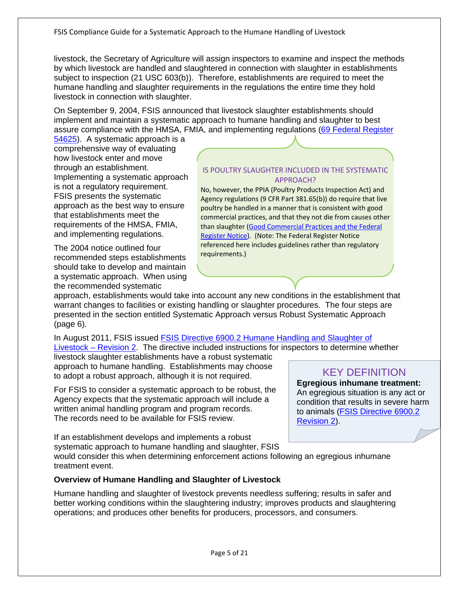livestock, the Secretary of Agriculture will assign inspectors to examine and inspect the methods by which livestock are handled and slaughtered in connection with slaughter in establishments subject to inspection (21 USC 603(b)). Therefore, establishments are required to meet the humane handling and slaughter requirements in the regulations the entire time they hold livestock in connection with slaughter.

On September 9, 2004, FSIS announced that livestock slaughter establishments should implement and maintain a systematic approach to humane handling and slaughter to best assure compliance with the HMSA, FMIA, and implementing regulations [\(69 Federal Register](http://www.gpo.gov/fdsys/pkg/FR-2004-09-09/pdf/04-20431.pdf)

[54625\)](http://www.gpo.gov/fdsys/pkg/FR-2004-09-09/pdf/04-20431.pdf). A systematic approach is a comprehensive way of evaluating how livestock enter and move through an establishment. Implementing a systematic approach is not a regulatory requirement. FSIS presents the systematic approach as the best way to ensure that establishments meet the requirements of the HMSA, FMIA, and implementing regulations.

The 2004 notice outlined four recommended steps establishments should take to develop and maintain a systematic approach. When using the recommended systematic

#### IS POULTRY SLAUGHTER INCLUDED IN THE SYSTEMATIC APPROACH?

No, however, the PPIA (Poultry Products Inspection Act) and Agency regulations (9 CFR Part 381.65(b)) do require that live poultry be handled in a manner that is consistent with good commercial practices, and that they not die from causes other than slaughter [\(Good Commercial Practices and the Federal](http://www.fsis.usda.gov/Frame/FrameRedirect.asp?main=http://www.fsis.usda.gov/OPPDE/rdad/FRPubs/04-037N.htm)  [Register Notice\)](http://www.fsis.usda.gov/Frame/FrameRedirect.asp?main=http://www.fsis.usda.gov/OPPDE/rdad/FRPubs/04-037N.htm). (Note: The Federal Register Notice referenced here includes guidelines rather than regulatory requirements.)

approach, establishments would take into account any new conditions in the establishment that warrant changes to facilities or existing handling or slaughter procedures. The four steps are presented in the section entitled Systematic Approach versus Robust Systematic Approach (page 6).

In August 2011, FSIS issued [FSIS Directive 6900.2 Humane Handling and Slaughter of](http://www.fsis.usda.gov/wps/wcm/connect/2375f4d5-0e24-4213-902d-d94ee4ed9394/6900.2.pdf?MOD=AJPERES)  [Livestock –](http://www.fsis.usda.gov/wps/wcm/connect/2375f4d5-0e24-4213-902d-d94ee4ed9394/6900.2.pdf?MOD=AJPERES) Revision 2. The directive included instructions for inspectors to determine whether

livestock slaughter establishments have a robust systematic approach to humane handling. Establishments may choose to adopt a robust approach, although it is not required.

For FSIS to consider a systematic approach to be robust, the Agency expects that the systematic approach will include a written animal handling program and program records. The records need to be available for FSIS review.

If an establishment develops and implements a robust systematic approach to humane handling and slaughter, FSIS

KEY DEFINITION **Egregious inhumane treatment:** 

An egregious situation is any act or condition that results in severe harm to animals [\(FSIS Directive 6900.2](http://www.fsis.usda.gov/wps/wcm/connect/2375f4d5-0e24-4213-902d-d94ee4ed9394/6900.2.pdf?MOD=AJPERES)  [Revision 2\)](http://www.fsis.usda.gov/OPPDE/rdad/FSISDirectives/6900.2.pdf).

would consider this when determining enforcement actions following an egregious inhumane treatment event.

#### <span id="page-4-0"></span>**Overview of Humane Handling and Slaughter of Livestock**

Humane handling and slaughter of livestock prevents needless suffering; results in safer and better working conditions within the slaughtering industry; improves products and slaughtering operations; and produces other benefits for producers, processors, and consumers.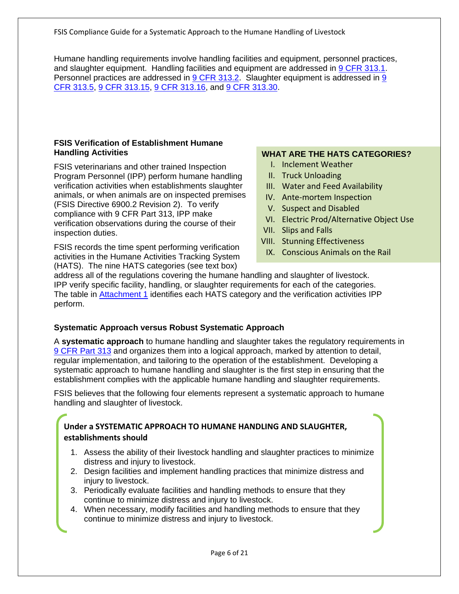Humane handling requirements involve handling facilities and equipment, personnel practices, and slaughter equipment. Handling facilities and equipment are addressed in [9 CFR 313.1.](http://www.gpo.gov/fdsys/pkg/CFR-2012-title9-vol2/pdf/CFR-2012-title9-vol2-sec313-1.pdf) Personnel practices are addressed in [9 CFR 313.2.](http://www.gpo.gov/fdsys/pkg/CFR-2012-title9-vol2/pdf/CFR-2012-title9-vol2-sec313-2.pdf) Slaughter equipment is addressed in 9 [CFR 313.5,](http://www.gpo.gov/fdsys/pkg/CFR-2012-title9-vol2/pdf/CFR-2012-title9-vol2-sec313-5.pdf) [9 CFR 313.15,](http://www.gpo.gov/fdsys/pkg/CFR-2012-title9-vol2/pdf/CFR-2012-title9-vol2-sec313-15.pdf) [9 CFR 313.16,](http://www.gpo.gov/fdsys/pkg/CFR-2012-title9-vol2/pdf/CFR-2012-title9-vol2-sec313-16.pdf) and [9 CFR 313.30.](http://www.gpo.gov/fdsys/pkg/CFR-2012-title9-vol2/pdf/CFR-2012-title9-vol2-sec313-30.pdf)

#### <span id="page-5-0"></span>**FSIS Verification of Establishment Humane Handling Activities**

FSIS veterinarians and other trained Inspection Program Personnel (IPP) perform humane handling verification activities when establishments slaughter animals, or when animals are on inspected premises (FSIS Directive 6900.2 Revision 2). To verify compliance with 9 CFR Part 313, IPP make verification observations during the course of their inspection duties.

FSIS records the time spent performing verification activities in the Humane Activities Tracking System (HATS). The nine HATS categories (see text box)

#### **WHAT ARE THE HATS CATEGORIES?**

- I. Inclement Weather
- II. Truck Unloading
- III. Water and Feed Availability
- IV. Ante-mortem Inspection
- V. Suspect and Disabled
- VI. Electric Prod/Alternative Object Use
- VII. Slips and Falls
- VIII. Stunning Effectiveness
- IX. Conscious Animals on the Rail

address all of the regulations covering the humane handling and slaughter of livestock. IPP verify specific facility, handling, or slaughter requirements for each of the categories. The table in [Attachment 1](#page-11-0) identifies each HATS category and the verification activities IPP perform.

#### <span id="page-5-1"></span>**Systematic Approach versus Robust Systematic Approach**

A **systematic approach** to humane handling and slaughter takes the regulatory requirements in [9 CFR Part 313](http://www.gpo.gov/fdsys/pkg/CFR-2012-title9-vol2/pdf/CFR-2012-title9-vol2-part313.pdf) and organizes them into a logical approach, marked by attention to detail, regular implementation, and tailoring to the operation of the establishment. Developing a systematic approach to humane handling and slaughter is the first step in ensuring that the establishment complies with the applicable humane handling and slaughter requirements.

FSIS believes that the following four elements represent a systematic approach to humane handling and slaughter of livestock.

# **Under a SYSTEMATIC APPROACH TO HUMANE HANDLING AND SLAUGHTER, establishments should**

- 1. Assess the ability of their livestock handling and slaughter practices to minimize distress and injury to livestock.
- 2. Design facilities and implement handling practices that minimize distress and injury to livestock.
- 3. Periodically evaluate facilities and handling methods to ensure that they continue to minimize distress and injury to livestock.
- 4. When necessary, modify facilities and handling methods to ensure that they continue to minimize distress and injury to livestock.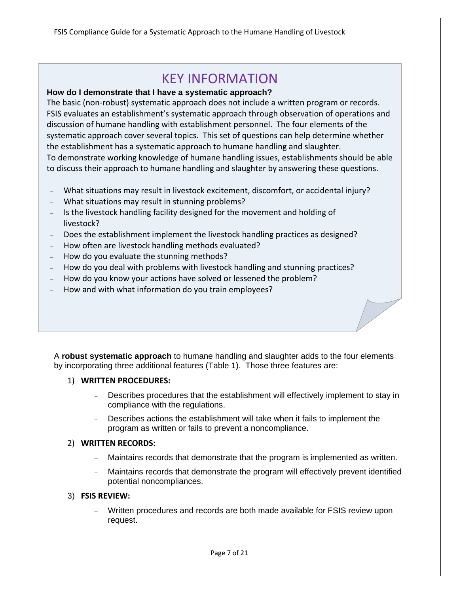# KEY INFORMATION

#### **How do I demonstrate that I have a systematic approach?**

The basic (non-robust) systematic approach does not include a written program or records. FSIS evaluates an establishment's systematic approach through observation of operations and discussion of humane handling with establishment personnel. The four elements of the systematic approach cover several topics. This set of questions can help determine whether the establishment has a systematic approach to humane handling and slaughter. To demonstrate working knowledge of humane handling issues, establishments should be able to discuss their approach to humane handling and slaughter by answering these questions.

- <sup>−</sup> What situations may result in livestock excitement, discomfort, or accidental injury?
- <sup>−</sup> What situations may result in stunning problems?
- Is the livestock handling facility designed for the movement and holding of livestock?
- Does the establishment implement the livestock handling practices as designed?
- <sup>−</sup> How often are livestock handling methods evaluated?
- <sup>−</sup> How do you evaluate the stunning methods?
- <sup>−</sup> How do you deal with problems with livestock handling and stunning practices?
- How do you know your actions have solved or lessened the problem?
- How and with what information do you train employees?

A **robust systematic approach** to humane handling and slaughter adds to the four elements by incorporating three additional features (Table 1). Those three features are:

#### 1) **WRITTEN PROCEDURES:**

- Describes procedures that the establishment will effectively implement to stay in compliance with the regulations.
- Describes actions the establishment will take when it fails to implement the program as written or fails to prevent a noncompliance.

#### 2) **WRITTEN RECORDS:**

- Maintains records that demonstrate that the program is implemented as written.
- − Maintains records that demonstrate the program will effectively prevent identified potential noncompliances.

#### 3) **FSIS REVIEW:**

Written procedures and records are both made available for FSIS review upon request.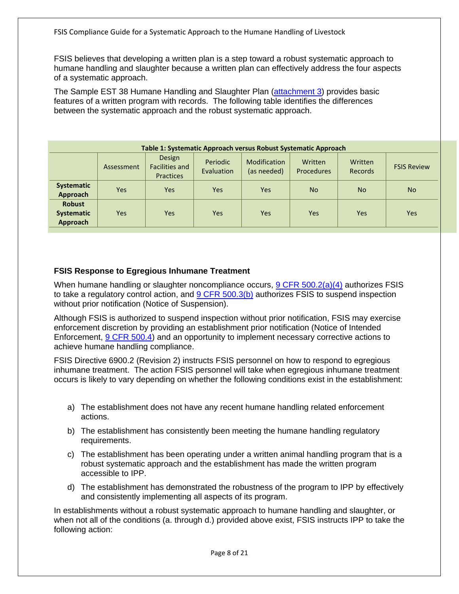FSIS believes that developing a written plan is a step toward a robust systematic approach to humane handling and slaughter because a written plan can effectively address the four aspects of a systematic approach.

The Sample EST 38 Humane Handling and Slaughter Plan [\(attachment 3\)](#page-17-0) provides basic features of a written program with records. The following table identifies the differences between the systematic approach and the robust systematic approach.

| Table 1: Systematic Approach versus Robust Systematic Approach |            |                                                     |                        |                                    |                              |                           |                    |
|----------------------------------------------------------------|------------|-----------------------------------------------------|------------------------|------------------------------------|------------------------------|---------------------------|--------------------|
|                                                                | Assessment | Design<br><b>Facilities and</b><br><b>Practices</b> | Periodic<br>Evaluation | <b>Modification</b><br>(as needed) | Written<br><b>Procedures</b> | Written<br><b>Records</b> | <b>FSIS Review</b> |
| Systematic<br>Approach                                         | Yes        | Yes                                                 | <b>Yes</b>             | <b>Yes</b>                         | <b>No</b>                    | <b>No</b>                 | <b>No</b>          |
| <b>Robust</b><br><b>Systematic</b><br>Approach                 | <b>Yes</b> | Yes                                                 | <b>Yes</b>             | <b>Yes</b>                         | Yes                          | <b>Yes</b>                | <b>Yes</b>         |

# <span id="page-7-0"></span>**FSIS Response to Egregious Inhumane Treatment**

When humane handling or slaughter noncompliance occurs, [9 CFR 500.2\(a\)\(4\)](http://www.gpo.gov/fdsys/pkg/CFR-2012-title9-vol2/pdf/CFR-2012-title9-vol2-sec500-3.pdf) authorizes FSIS to take a regulatory control action, and  $9$  CFR 500.3(b) authorizes FSIS to suspend inspection without prior notification (Notice of Suspension).

Although FSIS is authorized to suspend inspection without prior notification, FSIS may exercise enforcement discretion by providing an establishment prior notification (Notice of Intended Enforcement, [9 CFR 500.4\)](http://www.gpo.gov/fdsys/pkg/CFR-2013-title9-vol2/pdf/CFR-2013-title9-vol2-sec500-4.pdf) and an opportunity to implement necessary corrective actions to achieve humane handling compliance.

FSIS Directive 6900.2 (Revision 2) instructs FSIS personnel on how to respond to egregious inhumane treatment. The action FSIS personnel will take when egregious inhumane treatment occurs is likely to vary depending on whether the following conditions exist in the establishment:

- a) The establishment does not have any recent humane handling related enforcement actions.
- b) The establishment has consistently been meeting the humane handling regulatory requirements.
- c) The establishment has been operating under a written animal handling program that is a robust systematic approach and the establishment has made the written program accessible to IPP.
- d) The establishment has demonstrated the robustness of the program to IPP by effectively and consistently implementing all aspects of its program.

In establishments without a robust systematic approach to humane handling and slaughter, or when not all of the conditions (a. through d.) provided above exist, FSIS instructs IPP to take the following action: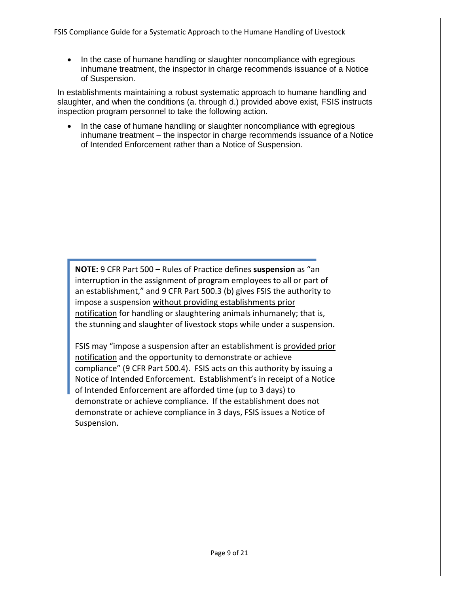• In the case of humane handling or slaughter noncompliance with egregious inhumane treatment, the inspector in charge recommends issuance of a Notice of Suspension.

In establishments maintaining a robust systematic approach to humane handling and slaughter, and when the conditions (a. through d.) provided above exist, FSIS instructs inspection program personnel to take the following action.

• In the case of humane handling or slaughter noncompliance with egregious inhumane treatment – the inspector in charge recommends issuance of a Notice of Intended Enforcement rather than a Notice of Suspension.

**NOTE:** 9 CFR Part 500 – Rules of Practice defines **suspension** as "an interruption in the assignment of program employees to all or part of an establishment," and 9 CFR Part 500.3 (b) gives FSIS the authority to impose a suspension without providing establishments prior notification for handling or slaughtering animals inhumanely; that is, the stunning and slaughter of livestock stops while under a suspension.

<span id="page-8-0"></span>FSIS may "impose a suspension after an establishment is provided prior notification and the opportunity to demonstrate or achieve compliance" (9 CFR Part 500.4). FSIS acts on this authority by issuing a Notice of Intended Enforcement. Establishment's in receipt of a Notice of Intended Enforcement are afforded time (up to 3 days) to demonstrate or achieve compliance. If the establishment does not demonstrate or achieve compliance in 3 days, FSIS issues a Notice of Suspension.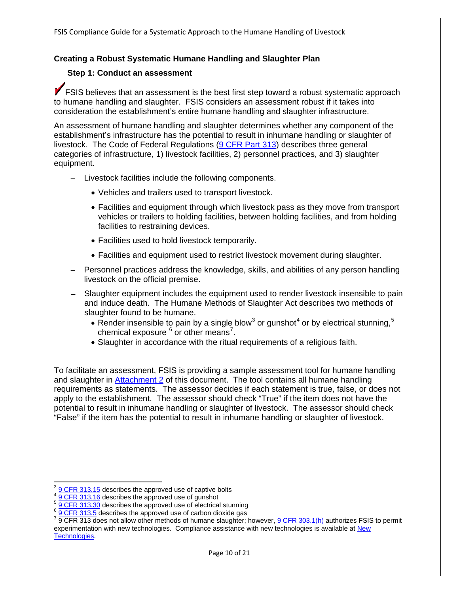## <span id="page-9-0"></span>**Creating a Robust Systematic Humane Handling and Slaughter Plan**

#### **Step 1: Conduct an assessment**

**FSIS believes that an assessment is the best first step toward a robust systematic approach** to humane handling and slaughter. FSIS considers an assessment robust if it takes into consideration the establishment's entire humane handling and slaughter infrastructure.

An assessment of humane handling and slaughter determines whether any component of the establishment's infrastructure has the potential to result in inhumane handling or slaughter of livestock. The Code of Federal Regulations [\(9 CFR Part 313\)](http://www.gpo.gov/fdsys/pkg/CFR-2012-title9-vol2/pdf/CFR-2012-title9-vol2-part313.pdf) describes three general categories of infrastructure, 1) livestock facilities, 2) personnel practices, and 3) slaughter equipment.

- − Livestock facilities include the following components.
	- Vehicles and trailers used to transport livestock.
	- Facilities and equipment through which livestock pass as they move from transport vehicles or trailers to holding facilities, between holding facilities, and from holding facilities to restraining devices.
	- Facilities used to hold livestock temporarily.
	- Facilities and equipment used to restrict livestock movement during slaughter.
- Personnel practices address the knowledge, skills, and abilities of any person handling livestock on the official premise.
- Slaughter equipment includes the equipment used to render livestock insensible to pain and induce death. The Humane Methods of Slaughter Act describes two methods of slaughter found to be humane.
	- Render insensible to pain by a single blow<sup>[3](#page-9-1)</sup> or gunshot<sup>[4](#page-9-2)</sup> or by electrical stunning,<sup>[5](#page-9-3)</sup> chemical exposure  $^6$  $^6$  or other means<sup>[7](#page-9-5)</sup>.
	- Slaughter in accordance with the ritual requirements of a religious faith.

To facilitate an assessment, FSIS is providing a sample assessment tool for humane handling and slaughter in [Attachment 2](#page-12-0) of this document. The tool contains all humane handling requirements as statements. The assessor decides if each statement is true, false, or does not apply to the establishment. The assessor should check "True" if the item does not have the potential to result in inhumane handling or slaughter of livestock. The assessor should check "False" if the item has the potential to result in inhumane handling or slaughter of livestock.

<span id="page-9-4"></span><span id="page-9-3"></span>

<span id="page-9-5"></span>

<span id="page-9-2"></span><span id="page-9-1"></span> $\frac{3}{4}$  <u>[9 CFR 313.15](http://www.gpo.gov/fdsys/pkg/CFR-2012-title9-vol2/pdf/CFR-2012-title9-vol2-sec313-15.pdf)</u> describes the approved use of captive bolts<br>  $\frac{4}{4}$  <u>[9 CFR 313.16](http://www.gpo.gov/fdsys/pkg/CFR-2012-title9-vol2/pdf/CFR-2012-title9-vol2-sec313-16.pdf)</u> describes the approved use of gunshot<br>  $\frac{5}{4}$  <u>[9 CFR 313.30](http://www.gpo.gov/fdsys/pkg/CFR-2012-title9-vol2/pdf/CFR-2012-title9-vol2-sec313-30.pdf)</u> describes the approved use of electrical stunning<br>  $\frac{6}{9}$  <u></u> experimentation with new technologies. Compliance assistance with new technologies is available at New [Technologies.](http://www.fsis.usda.gov/Regulations_&_Policies/New_Technologies/index.asp)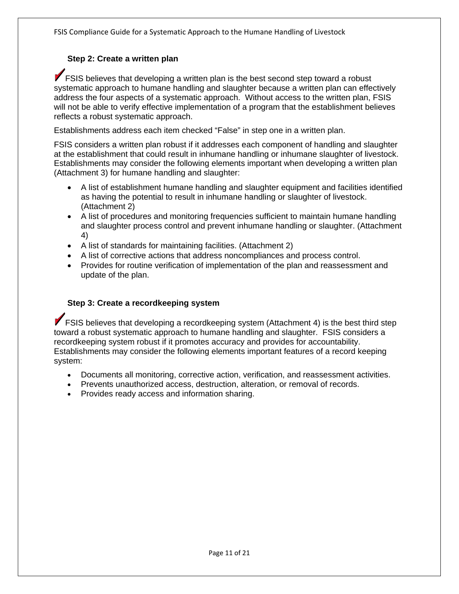# <span id="page-10-0"></span>**Step 2: Create a written plan**

**FSIS believes that developing a written plan is the best second step toward a robust** systematic approach to humane handling and slaughter because a written plan can effectively address the four aspects of a systematic approach. Without access to the written plan, FSIS will not be able to verify effective implementation of a program that the establishment believes reflects a robust systematic approach.

Establishments address each item checked "False" in step one in a written plan.

FSIS considers a written plan robust if it addresses each component of handling and slaughter at the establishment that could result in inhumane handling or inhumane slaughter of livestock. Establishments may consider the following elements important when developing a written plan (Attachment 3) for humane handling and slaughter:

- A list of establishment humane handling and slaughter equipment and facilities identified as having the potential to result in inhumane handling or slaughter of livestock. (Attachment 2)
- A list of procedures and monitoring frequencies sufficient to maintain humane handling and slaughter process control and prevent inhumane handling or slaughter. (Attachment 4)
- A list of standards for maintaining facilities. (Attachment 2)
- A list of corrective actions that address noncompliances and process control.
- Provides for routine verification of implementation of the plan and reassessment and update of the plan.

#### <span id="page-10-1"></span>**Step 3: Create a recordkeeping system**

**FSIS believes that developing a recordkeeping system (Attachment 4) is the best third step** toward a robust systematic approach to humane handling and slaughter. FSIS considers a recordkeeping system robust if it promotes accuracy and provides for accountability. Establishments may consider the following elements important features of a record keeping system:

- Documents all monitoring, corrective action, verification, and reassessment activities.
- Prevents unauthorized access, destruction, alteration, or removal of records.
- Provides ready access and information sharing.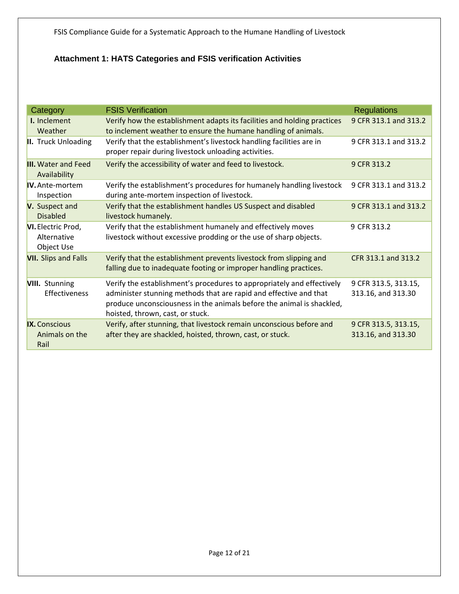# <span id="page-11-0"></span>**Attachment 1: HATS Categories and FSIS verification Activities**

| Category                                        | <b>FSIS Verification</b>                                                                                                                                                                                                                                 | <b>Regulations</b>                         |
|-------------------------------------------------|----------------------------------------------------------------------------------------------------------------------------------------------------------------------------------------------------------------------------------------------------------|--------------------------------------------|
| I. Inclement<br>Weather                         | Verify how the establishment adapts its facilities and holding practices<br>to inclement weather to ensure the humane handling of animals.                                                                                                               | 9 CFR 313.1 and 313.2                      |
| <b>II.</b> Truck Unloading                      | Verify that the establishment's livestock handling facilities are in<br>proper repair during livestock unloading activities.                                                                                                                             | 9 CFR 313.1 and 313.2                      |
| <b>III.</b> Water and Feed<br>Availability      | Verify the accessibility of water and feed to livestock.                                                                                                                                                                                                 | 9 CFR 313.2                                |
| <b>IV.</b> Ante-mortem<br>Inspection            | Verify the establishment's procedures for humanely handling livestock<br>during ante-mortem inspection of livestock.                                                                                                                                     | 9 CFR 313.1 and 313.2                      |
| V. Suspect and<br><b>Disabled</b>               | Verify that the establishment handles US Suspect and disabled<br>livestock humanely.                                                                                                                                                                     | 9 CFR 313.1 and 313.2                      |
| VI. Electric Prod,<br>Alternative<br>Object Use | Verify that the establishment humanely and effectively moves<br>livestock without excessive prodding or the use of sharp objects.                                                                                                                        | 9 CFR 313.2                                |
| <b>VII.</b> Slips and Falls                     | Verify that the establishment prevents livestock from slipping and<br>falling due to inadequate footing or improper handling practices.                                                                                                                  | CFR 313.1 and 313.2                        |
| <b>VIII.</b> Stunning<br>Effectiveness          | Verify the establishment's procedures to appropriately and effectively<br>administer stunning methods that are rapid and effective and that<br>produce unconsciousness in the animals before the animal is shackled,<br>hoisted, thrown, cast, or stuck. | 9 CFR 313.5, 313.15,<br>313.16, and 313.30 |
| <b>IX.</b> Conscious<br>Animals on the<br>Rail  | Verify, after stunning, that livestock remain unconscious before and<br>after they are shackled, hoisted, thrown, cast, or stuck.                                                                                                                        | 9 CFR 313.5, 313.15,<br>313.16, and 313.30 |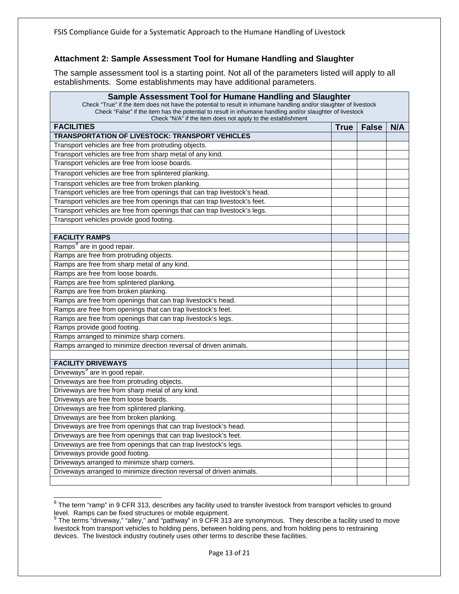# <span id="page-12-0"></span>**Attachment 2: Sample Assessment Tool for Humane Handling and Slaughter**

The sample assessment tool is a starting point. Not all of the parameters listed will apply to all establishments. Some establishments may have additional parameters.

| Sample Assessment Tool for Humane Handling and Slaughter<br>Check "True" if the item does not have the potential to result in inhumane handling and/or slaughter of livestock<br>Check "False" if the item has the potential to result in inhumane handling and/or slaughter of livestock<br>Check "N/A" if the item does not apply to the establishment |      |              |     |  |
|----------------------------------------------------------------------------------------------------------------------------------------------------------------------------------------------------------------------------------------------------------------------------------------------------------------------------------------------------------|------|--------------|-----|--|
| <b>FACILITIES</b>                                                                                                                                                                                                                                                                                                                                        | True | <b>False</b> | N/A |  |
| <b>TRANSPORTATION OF LIVESTOCK: TRANSPORT VEHICLES</b>                                                                                                                                                                                                                                                                                                   |      |              |     |  |
| Transport vehicles are free from protruding objects.                                                                                                                                                                                                                                                                                                     |      |              |     |  |
| Transport vehicles are free from sharp metal of any kind.                                                                                                                                                                                                                                                                                                |      |              |     |  |
| Transport vehicles are free from loose boards.                                                                                                                                                                                                                                                                                                           |      |              |     |  |
| Transport vehicles are free from splintered planking.                                                                                                                                                                                                                                                                                                    |      |              |     |  |
| Transport vehicles are free from broken planking.                                                                                                                                                                                                                                                                                                        |      |              |     |  |
| Transport vehicles are free from openings that can trap livestock's head.                                                                                                                                                                                                                                                                                |      |              |     |  |
| Transport vehicles are free from openings that can trap livestock's feet.                                                                                                                                                                                                                                                                                |      |              |     |  |
| Transport vehicles are free from openings that can trap livestock's legs.                                                                                                                                                                                                                                                                                |      |              |     |  |
| Transport vehicles provide good footing.                                                                                                                                                                                                                                                                                                                 |      |              |     |  |
|                                                                                                                                                                                                                                                                                                                                                          |      |              |     |  |
| <b>FACILITY RAMPS</b>                                                                                                                                                                                                                                                                                                                                    |      |              |     |  |
| Ramps <sup>8</sup> are in good repair.                                                                                                                                                                                                                                                                                                                   |      |              |     |  |
| Ramps are free from protruding objects.                                                                                                                                                                                                                                                                                                                  |      |              |     |  |
| Ramps are free from sharp metal of any kind.                                                                                                                                                                                                                                                                                                             |      |              |     |  |
| Ramps are free from loose boards.                                                                                                                                                                                                                                                                                                                        |      |              |     |  |
| Ramps are free from splintered planking.                                                                                                                                                                                                                                                                                                                 |      |              |     |  |
| Ramps are free from broken planking.                                                                                                                                                                                                                                                                                                                     |      |              |     |  |
| Ramps are free from openings that can trap livestock's head.                                                                                                                                                                                                                                                                                             |      |              |     |  |
| Ramps are free from openings that can trap livestock's feet.                                                                                                                                                                                                                                                                                             |      |              |     |  |
| Ramps are free from openings that can trap livestock's legs.                                                                                                                                                                                                                                                                                             |      |              |     |  |
| Ramps provide good footing.                                                                                                                                                                                                                                                                                                                              |      |              |     |  |
| Ramps arranged to minimize sharp corners.                                                                                                                                                                                                                                                                                                                |      |              |     |  |
| Ramps arranged to minimize direction reversal of driven animals.                                                                                                                                                                                                                                                                                         |      |              |     |  |
|                                                                                                                                                                                                                                                                                                                                                          |      |              |     |  |
| <b>FACILITY DRIVEWAYS</b>                                                                                                                                                                                                                                                                                                                                |      |              |     |  |
| Driveways <sup>9</sup> are in good repair.                                                                                                                                                                                                                                                                                                               |      |              |     |  |
| Driveways are free from protruding objects.                                                                                                                                                                                                                                                                                                              |      |              |     |  |
| Driveways are free from sharp metal of any kind.                                                                                                                                                                                                                                                                                                         |      |              |     |  |
| Driveways are free from loose boards.                                                                                                                                                                                                                                                                                                                    |      |              |     |  |
| Driveways are free from splintered planking.                                                                                                                                                                                                                                                                                                             |      |              |     |  |
| Driveways are free from broken planking.                                                                                                                                                                                                                                                                                                                 |      |              |     |  |
| Driveways are free from openings that can trap livestock's head.                                                                                                                                                                                                                                                                                         |      |              |     |  |
| Driveways are free from openings that can trap livestock's feet.                                                                                                                                                                                                                                                                                         |      |              |     |  |
| Driveways are free from openings that can trap livestock's legs.                                                                                                                                                                                                                                                                                         |      |              |     |  |
| Driveways provide good footing.                                                                                                                                                                                                                                                                                                                          |      |              |     |  |
| Driveways arranged to minimize sharp corners.                                                                                                                                                                                                                                                                                                            |      |              |     |  |
| Driveways arranged to minimize direction reversal of driven animals.                                                                                                                                                                                                                                                                                     |      |              |     |  |
|                                                                                                                                                                                                                                                                                                                                                          |      |              |     |  |

<span id="page-12-1"></span><sup>&</sup>lt;sup>8</sup> The term "ramp" in 9 CFR 313, describes any facility used to transfer livestock from transport vehicles to ground level. Ramps can be fixed structures or mobile equipment.<br><sup>9</sup> The terms "driveway," "alley," and "pathway" in 9 CFR 313 are synonymous. They describe a facility used to move

<span id="page-12-2"></span>livestock from transport vehicles to holding pens, between holding pens, and from holding pens to restraining devices. The livestock industry routinely uses other terms to describe these facilities.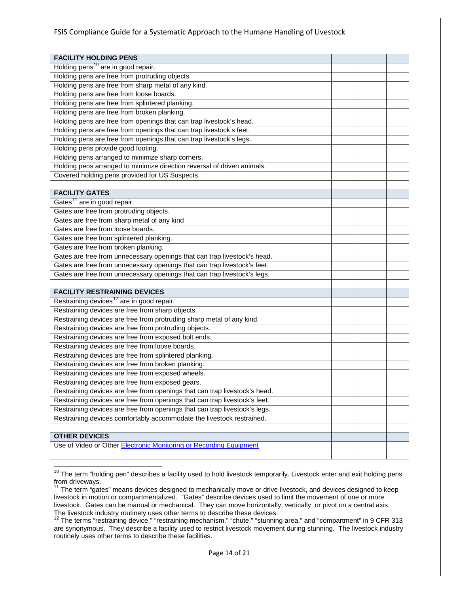| <b>FACILITY HOLDING PENS</b>                                               |  |  |
|----------------------------------------------------------------------------|--|--|
| Holding pens <sup>10</sup> are in good repair.                             |  |  |
| Holding pens are free from protruding objects.                             |  |  |
| Holding pens are free from sharp metal of any kind.                        |  |  |
| Holding pens are free from loose boards.                                   |  |  |
| Holding pens are free from splintered planking.                            |  |  |
| Holding pens are free from broken planking.                                |  |  |
| Holding pens are free from openings that can trap livestock's head.        |  |  |
| Holding pens are free from openings that can trap livestock's feet.        |  |  |
| Holding pens are free from openings that can trap livestock's legs.        |  |  |
| Holding pens provide good footing.                                         |  |  |
| Holding pens arranged to minimize sharp corners.                           |  |  |
| Holding pens arranged to minimize direction reversal of driven animals.    |  |  |
| Covered holding pens provided for US Suspects.                             |  |  |
|                                                                            |  |  |
| <b>FACILITY GATES</b>                                                      |  |  |
| Gates <sup>11</sup> are in good repair.                                    |  |  |
| Gates are free from protruding objects.                                    |  |  |
| Gates are free from sharp metal of any kind                                |  |  |
| Gates are free from loose boards.                                          |  |  |
| Gates are free from splintered planking.                                   |  |  |
| Gates are free from broken planking.                                       |  |  |
| Gates are free from unnecessary openings that can trap livestock's head.   |  |  |
| Gates are free from unnecessary openings that can trap livestock's feet.   |  |  |
| Gates are free from unnecessary openings that can trap livestock's legs.   |  |  |
|                                                                            |  |  |
| <b>FACILITY RESTRAINING DEVICES</b>                                        |  |  |
| Restraining devices <sup>12</sup> are in good repair.                      |  |  |
| Restraining devices are free from sharp objects.                           |  |  |
| Restraining devices are free from protruding sharp metal of any kind.      |  |  |
| Restraining devices are free from protruding objects.                      |  |  |
| Restraining devices are free from exposed bolt ends.                       |  |  |
| Restraining devices are free from loose boards.                            |  |  |
| Restraining devices are free from splintered planking.                     |  |  |
| Restraining devices are free from broken planking.                         |  |  |
| Restraining devices are free from exposed wheels.                          |  |  |
| Restraining devices are free from exposed gears.                           |  |  |
| Restraining devices are free from openings that can trap livestock's head. |  |  |
| Restraining devices are free from openings that can trap livestock's feet. |  |  |
| Restraining devices are free from openings that can trap livestock's legs. |  |  |
| Restraining devices comfortably accommodate the livestock restrained.      |  |  |
|                                                                            |  |  |
| <b>OTHER DEVICES</b>                                                       |  |  |
| Use of Video or Other Electronic Monitoring or Recording Equipment         |  |  |
|                                                                            |  |  |

<span id="page-13-0"></span> $10$  The term "holding pen" describes a facility used to hold livestock temporarily. Livestock enter and exit holding pens from driveways.

<span id="page-13-1"></span><sup>11</sup> The term "gates" means devices designed to mechanically move or drive livestock, and devices designed to keep livestock in motion or compartmentalized. "Gates" describe devices used to limit the movement of one or more livestock. Gates can be manual or mechanical. They can move horizontally, vertically, or pivot on a central axis.<br>The livestock industry routinely uses other terms to describe these devices.

<span id="page-13-2"></span>The terms "restraining device," "restraining mechanism," "chute," "stunning area," and "compartment" in 9 CFR 313 are synonymous. They describe a facility used to restrict livestock movement during stunning. The livestock industry routinely uses other terms to describe these facilities.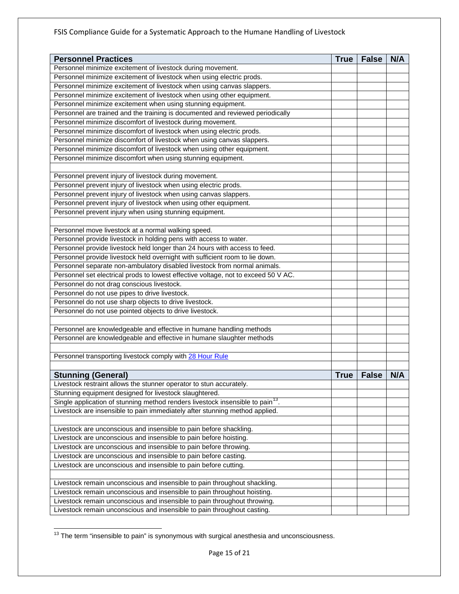| <b>Personnel Practices</b>                                                                 | <b>True</b> | <b>False</b> | N/A |
|--------------------------------------------------------------------------------------------|-------------|--------------|-----|
| Personnel minimize excitement of livestock during movement.                                |             |              |     |
| Personnel minimize excitement of livestock when using electric prods.                      |             |              |     |
| Personnel minimize excitement of livestock when using canvas slappers.                     |             |              |     |
| Personnel minimize excitement of livestock when using other equipment.                     |             |              |     |
| Personnel minimize excitement when using stunning equipment.                               |             |              |     |
| Personnel are trained and the training is documented and reviewed periodically             |             |              |     |
| Personnel minimize discomfort of livestock during movement.                                |             |              |     |
| Personnel minimize discomfort of livestock when using electric prods.                      |             |              |     |
| Personnel minimize discomfort of livestock when using canvas slappers.                     |             |              |     |
| Personnel minimize discomfort of livestock when using other equipment.                     |             |              |     |
| Personnel minimize discomfort when using stunning equipment.                               |             |              |     |
|                                                                                            |             |              |     |
| Personnel prevent injury of livestock during movement.                                     |             |              |     |
| Personnel prevent injury of livestock when using electric prods.                           |             |              |     |
| Personnel prevent injury of livestock when using canvas slappers.                          |             |              |     |
| Personnel prevent injury of livestock when using other equipment.                          |             |              |     |
| Personnel prevent injury when using stunning equipment.                                    |             |              |     |
|                                                                                            |             |              |     |
| Personnel move livestock at a normal walking speed.                                        |             |              |     |
| Personnel provide livestock in holding pens with access to water.                          |             |              |     |
| Personnel provide livestock held longer than 24 hours with access to feed.                 |             |              |     |
| Personnel provide livestock held overnight with sufficient room to lie down.               |             |              |     |
| Personnel separate non-ambulatory disabled livestock from normal animals.                  |             |              |     |
| Personnel set electrical prods to lowest effective voltage, not to exceed 50 V AC.         |             |              |     |
| Personnel do not drag conscious livestock.                                                 |             |              |     |
| Personnel do not use pipes to drive livestock.                                             |             |              |     |
| Personnel do not use sharp objects to drive livestock.                                     |             |              |     |
| Personnel do not use pointed objects to drive livestock.                                   |             |              |     |
|                                                                                            |             |              |     |
| Personnel are knowledgeable and effective in humane handling methods                       |             |              |     |
| Personnel are knowledgeable and effective in humane slaughter methods                      |             |              |     |
|                                                                                            |             |              |     |
| Personnel transporting livestock comply with 28 Hour Rule                                  |             |              |     |
|                                                                                            |             |              |     |
| <b>Stunning (General)</b>                                                                  | <b>True</b> | <b>False</b> | N/A |
| Livestock restraint allows the stunner operator to stun accurately.                        |             |              |     |
| Stunning equipment designed for livestock slaughtered.                                     |             |              |     |
| Single application of stunning method renders livestock insensible to pain <sup>13</sup> . |             |              |     |
| Livestock are insensible to pain immediately after stunning method applied.                |             |              |     |
|                                                                                            |             |              |     |
| Livestock are unconscious and insensible to pain before shackling.                         |             |              |     |
| Livestock are unconscious and insensible to pain before hoisting.                          |             |              |     |
| Livestock are unconscious and insensible to pain before throwing.                          |             |              |     |
| Livestock are unconscious and insensible to pain before casting.                           |             |              |     |
| Livestock are unconscious and insensible to pain before cutting.                           |             |              |     |
|                                                                                            |             |              |     |
| Livestock remain unconscious and insensible to pain throughout shackling.                  |             |              |     |
| Livestock remain unconscious and insensible to pain throughout hoisting.                   |             |              |     |
| Livestock remain unconscious and insensible to pain throughout throwing.                   |             |              |     |
| Livestock remain unconscious and insensible to pain throughout casting.                    |             |              |     |

<span id="page-14-0"></span><sup>&</sup>lt;sup>13</sup> The term "insensible to pain" is synonymous with surgical anesthesia and unconsciousness.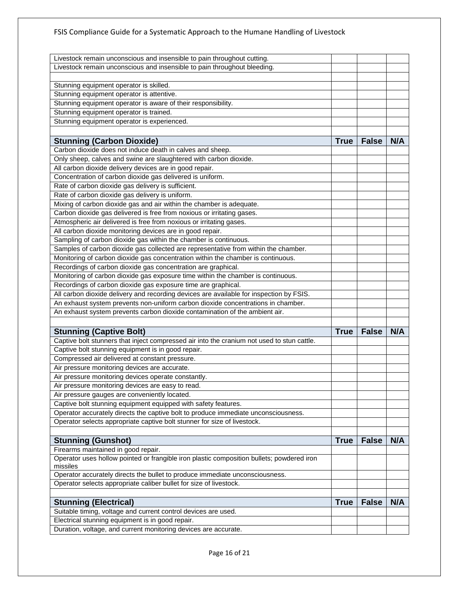| Livestock remain unconscious and insensible to pain throughout cutting.                               |             |              |     |
|-------------------------------------------------------------------------------------------------------|-------------|--------------|-----|
| Livestock remain unconscious and insensible to pain throughout bleeding.                              |             |              |     |
|                                                                                                       |             |              |     |
| Stunning equipment operator is skilled.                                                               |             |              |     |
| Stunning equipment operator is attentive.                                                             |             |              |     |
| Stunning equipment operator is aware of their responsibility.                                         |             |              |     |
| Stunning equipment operator is trained.                                                               |             |              |     |
| Stunning equipment operator is experienced.                                                           |             |              |     |
|                                                                                                       |             |              |     |
| <b>Stunning (Carbon Dioxide)</b>                                                                      | <b>True</b> | <b>False</b> | N/A |
| Carbon dioxide does not induce death in calves and sheep.                                             |             |              |     |
| Only sheep, calves and swine are slaughtered with carbon dioxide.                                     |             |              |     |
| All carbon dioxide delivery devices are in good repair.                                               |             |              |     |
| Concentration of carbon dioxide gas delivered is uniform.                                             |             |              |     |
| Rate of carbon dioxide gas delivery is sufficient.                                                    |             |              |     |
| Rate of carbon dioxide gas delivery is uniform.                                                       |             |              |     |
| Mixing of carbon dioxide gas and air within the chamber is adequate.                                  |             |              |     |
| Carbon dioxide gas delivered is free from noxious or irritating gases.                                |             |              |     |
| Atmospheric air delivered is free from noxious or irritating gases.                                   |             |              |     |
| All carbon dioxide monitoring devices are in good repair.                                             |             |              |     |
| Sampling of carbon dioxide gas within the chamber is continuous.                                      |             |              |     |
| Samples of carbon dioxide gas collected are representative from within the chamber.                   |             |              |     |
| Monitoring of carbon dioxide gas concentration within the chamber is continuous.                      |             |              |     |
| Recordings of carbon dioxide gas concentration are graphical.                                         |             |              |     |
| Monitoring of carbon dioxide gas exposure time within the chamber is continuous.                      |             |              |     |
| Recordings of carbon dioxide gas exposure time are graphical.                                         |             |              |     |
| All carbon dioxide delivery and recording devices are available for inspection by FSIS.               |             |              |     |
| An exhaust system prevents non-uniform carbon dioxide concentrations in chamber.                      |             |              |     |
| An exhaust system prevents carbon dioxide contamination of the ambient air.                           |             |              |     |
|                                                                                                       |             |              |     |
| <b>Stunning (Captive Bolt)</b>                                                                        | <b>True</b> | <b>False</b> | N/A |
| Captive bolt stunners that inject compressed air into the cranium not used to stun cattle.            |             |              |     |
| Captive bolt stunning equipment is in good repair.                                                    |             |              |     |
| Compressed air delivered at constant pressure.                                                        |             |              |     |
| Air pressure monitoring devices are accurate.                                                         |             |              |     |
| Air pressure monitoring devices operate constantly.                                                   |             |              |     |
| Air pressure monitoring devices are easy to read.                                                     |             |              |     |
| Air pressure gauges are conveniently located.                                                         |             |              |     |
| Captive bolt stunning equipment equipped with safety features.                                        |             |              |     |
| Operator accurately directs the captive bolt to produce immediate unconsciousness.                    |             |              |     |
| Operator selects appropriate captive bolt stunner for size of livestock.                              |             |              |     |
|                                                                                                       |             |              |     |
| <b>Stunning (Gunshot)</b>                                                                             | <b>True</b> | <b>False</b> | N/A |
| Firearms maintained in good repair.                                                                   |             |              |     |
| Operator uses hollow pointed or frangible iron plastic composition bullets; powdered iron<br>missiles |             |              |     |
| Operator accurately directs the bullet to produce immediate unconsciousness.                          |             |              |     |
| Operator selects appropriate caliber bullet for size of livestock.                                    |             |              |     |
| <b>Stunning (Electrical)</b>                                                                          | <b>True</b> | <b>False</b> | N/A |
| Suitable timing, voltage and current control devices are used.                                        |             |              |     |
| Electrical stunning equipment is in good repair.                                                      |             |              |     |
| Duration, voltage, and current monitoring devices are accurate.                                       |             |              |     |
|                                                                                                       |             |              |     |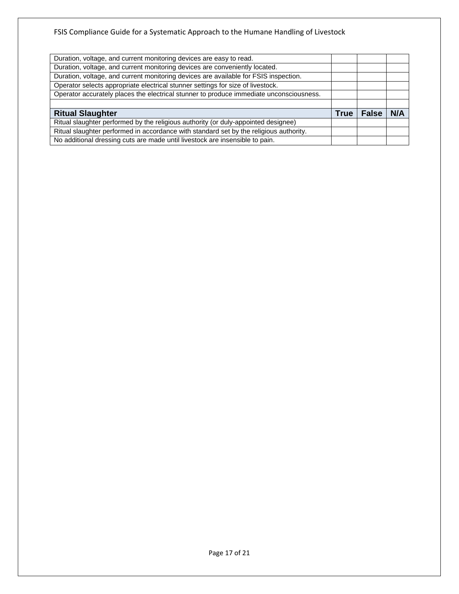| Duration, voltage, and current monitoring devices are easy to read.                     |      |              |     |
|-----------------------------------------------------------------------------------------|------|--------------|-----|
| Duration, voltage, and current monitoring devices are conveniently located.             |      |              |     |
| Duration, voltage, and current monitoring devices are available for FSIS inspection.    |      |              |     |
| Operator selects appropriate electrical stunner settings for size of livestock.         |      |              |     |
| Operator accurately places the electrical stunner to produce immediate unconsciousness. |      |              |     |
|                                                                                         |      |              |     |
| <b>Ritual Slaughter</b>                                                                 | True | <b>False</b> | N/A |
| Ritual slaughter performed by the religious authority (or duly-appointed designee)      |      |              |     |
| Ritual slaughter performed in accordance with standard set by the religious authority.  |      |              |     |
| No additional dressing cuts are made until livestock are insensible to pain.            |      |              |     |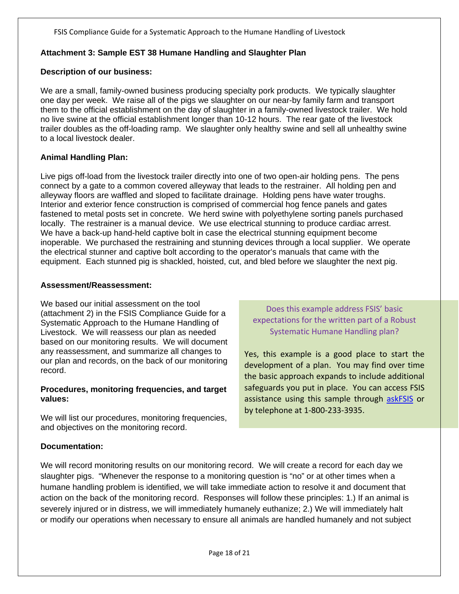# <span id="page-17-0"></span>**Attachment 3: Sample EST 38 Humane Handling and Slaughter Plan**

#### **Description of our business:**

We are a small, family-owned business producing specialty pork products. We typically slaughter one day per week. We raise all of the pigs we slaughter on our near-by family farm and transport them to the official establishment on the day of slaughter in a family-owned livestock trailer. We hold no live swine at the official establishment longer than 10-12 hours. The rear gate of the livestock trailer doubles as the off-loading ramp. We slaughter only healthy swine and sell all unhealthy swine to a local livestock dealer.

#### **Animal Handling Plan:**

Live pigs off-load from the livestock trailer directly into one of two open-air holding pens. The pens connect by a gate to a common covered alleyway that leads to the restrainer. All holding pen and alleyway floors are waffled and sloped to facilitate drainage. Holding pens have water troughs. Interior and exterior fence construction is comprised of commercial hog fence panels and gates fastened to metal posts set in concrete. We herd swine with polyethylene sorting panels purchased locally. The restrainer is a manual device. We use electrical stunning to produce cardiac arrest. We have a back-up hand-held captive bolt in case the electrical stunning equipment become inoperable. We purchased the restraining and stunning devices through a local supplier. We operate the electrical stunner and captive bolt according to the operator's manuals that came with the equipment. Each stunned pig is shackled, hoisted, cut, and bled before we slaughter the next pig.

#### **Assessment/Reassessment:**

We based our initial assessment on the tool (attachment 2) in the FSIS Compliance Guide for a Systematic Approach to the Humane Handling of Livestock. We will reassess our plan as needed based on our monitoring results. We will document any reassessment, and summarize all changes to our plan and records, on the back of our monitoring record.

#### **Procedures, monitoring frequencies, and target values:**

We will list our procedures, monitoring frequencies, and objectives on the monitoring record.

Does this example address FSIS' basic expectations for the written part of a Robust Systematic Humane Handling plan?

Yes, this example is a good place to start the development of a plan. You may find over time the basic approach expands to include additional safeguards you put in place. You can access FSIS assistance using this sample through [askFSIS](http://askfsis.custhelp.com/) or by telephone at 1-800-233-3935.

#### **Documentation:**

We will record monitoring results on our monitoring record. We will create a record for each day we slaughter pigs. "Whenever the response to a monitoring question is "no" or at other times when a humane handling problem is identified, we will take immediate action to resolve it and document that action on the back of the monitoring record. Responses will follow these principles: 1.) If an animal is severely injured or in distress, we will immediately humanely euthanize; 2.) We will immediately halt or modify our operations when necessary to ensure all animals are handled humanely and not subject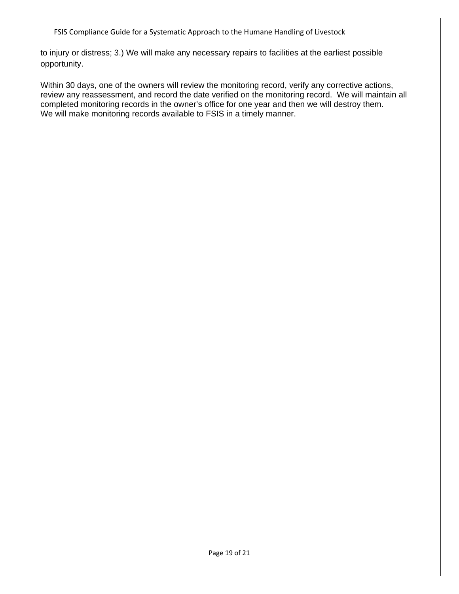to injury or distress; 3.) We will make any necessary repairs to facilities at the earliest possible opportunity.

Within 30 days, one of the owners will review the monitoring record, verify any corrective actions, review any reassessment, and record the date verified on the monitoring record. We will maintain all completed monitoring records in the owner's office for one year and then we will destroy them. We will make monitoring records available to FSIS in a timely manner.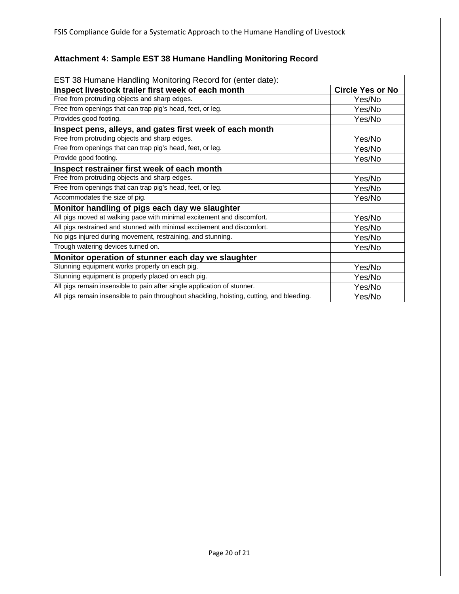# <span id="page-19-0"></span>**Attachment 4: Sample EST 38 Humane Handling Monitoring Record**

| EST 38 Humane Handling Monitoring Record for (enter date):                                |                         |  |  |  |
|-------------------------------------------------------------------------------------------|-------------------------|--|--|--|
| Inspect livestock trailer first week of each month                                        | <b>Circle Yes or No</b> |  |  |  |
| Free from protruding objects and sharp edges.                                             | Yes/No                  |  |  |  |
| Free from openings that can trap pig's head, feet, or leg.                                | Yes/No                  |  |  |  |
| Provides good footing.                                                                    | Yes/No                  |  |  |  |
| Inspect pens, alleys, and gates first week of each month                                  |                         |  |  |  |
| Free from protruding objects and sharp edges.                                             | Yes/No                  |  |  |  |
| Free from openings that can trap pig's head, feet, or leg.                                | Yes/No                  |  |  |  |
| Provide good footing.                                                                     | Yes/No                  |  |  |  |
| Inspect restrainer first week of each month                                               |                         |  |  |  |
| Free from protruding objects and sharp edges.                                             | Yes/No                  |  |  |  |
| Free from openings that can trap pig's head, feet, or leg.                                | Yes/No                  |  |  |  |
| Accommodates the size of pig.                                                             | Yes/No                  |  |  |  |
| Monitor handling of pigs each day we slaughter                                            |                         |  |  |  |
| All pigs moved at walking pace with minimal excitement and discomfort.                    | Yes/No                  |  |  |  |
| All pigs restrained and stunned with minimal excitement and discomfort.                   | Yes/No                  |  |  |  |
| No pigs injured during movement, restraining, and stunning.                               | Yes/No                  |  |  |  |
| Trough watering devices turned on.                                                        | Yes/No                  |  |  |  |
| Monitor operation of stunner each day we slaughter                                        |                         |  |  |  |
| Stunning equipment works properly on each pig.                                            | Yes/No                  |  |  |  |
| Stunning equipment is properly placed on each pig.                                        | Yes/No                  |  |  |  |
| All pigs remain insensible to pain after single application of stunner.                   | Yes/No                  |  |  |  |
| All pigs remain insensible to pain throughout shackling, hoisting, cutting, and bleeding. | Yes/No                  |  |  |  |